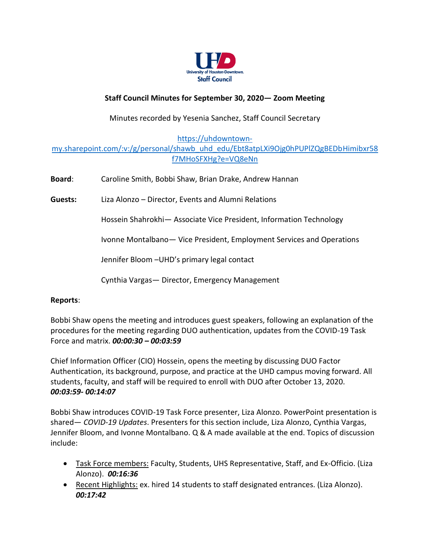

## **Staff Council Minutes for September 30, 2020— Zoom Meeting**

Minutes recorded by Yesenia Sanchez, Staff Council Secretary

[https://uhdowntown-](https://uhdowntown-my.sharepoint.com/:v:/g/personal/shawb_uhd_edu/Ebt8atpLXi9Ojg0hPUPlZQgBEDbHimibxr58f7MHoSFXHg?e=VQ8eNn)

## [my.sharepoint.com/:v:/g/personal/shawb\\_uhd\\_edu/Ebt8atpLXi9Ojg0hPUPlZQgBEDbHimibxr58](https://uhdowntown-my.sharepoint.com/:v:/g/personal/shawb_uhd_edu/Ebt8atpLXi9Ojg0hPUPlZQgBEDbHimibxr58f7MHoSFXHg?e=VQ8eNn) [f7MHoSFXHg?e=VQ8eNn](https://uhdowntown-my.sharepoint.com/:v:/g/personal/shawb_uhd_edu/Ebt8atpLXi9Ojg0hPUPlZQgBEDbHimibxr58f7MHoSFXHg?e=VQ8eNn)

| <b>Board:</b> | Caroline Smith, Bobbi Shaw, Brian Drake, Andrew Hannan                 |
|---------------|------------------------------------------------------------------------|
| Guests:       | Liza Alonzo – Director, Events and Alumni Relations                    |
|               | Hossein Shahrokhi- Associate Vice President, Information Technology    |
|               | Ivonne Montalbano - Vice President, Employment Services and Operations |
|               | Jennifer Bloom - UHD's primary legal contact                           |
|               | Cynthia Vargas - Director, Emergency Management                        |

## **Reports**:

Bobbi Shaw opens the meeting and introduces guest speakers, following an explanation of the procedures for the meeting regarding DUO authentication, updates from the COVID-19 Task Force and matrix. *00:00:30 – 00:03:59*

Chief Information Officer (CIO) Hossein, opens the meeting by discussing DUO Factor Authentication, its background, purpose, and practice at the UHD campus moving forward. All students, faculty, and staff will be required to enroll with DUO after October 13, 2020. *00:03:59- 00:14:07*

Bobbi Shaw introduces COVID-19 Task Force presenter, Liza Alonzo. PowerPoint presentation is shared— *COVID-19 Updates*. Presenters for this section include, Liza Alonzo, Cynthia Vargas, Jennifer Bloom, and Ivonne Montalbano. Q & A made available at the end. Topics of discussion include:

- Task Force members: Faculty, Students, UHS Representative, Staff, and Ex-Officio. (Liza Alonzo). *00:16:36*
- Recent Highlights: ex. hired 14 students to staff designated entrances. (Liza Alonzo). *00:17:42*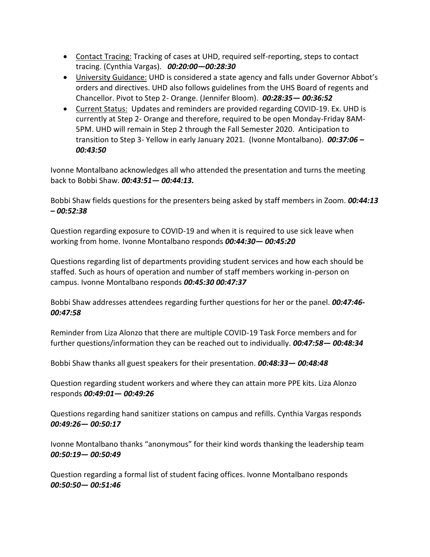- Contact Tracing: Tracking of cases at UHD, required self-reporting, steps to contact tracing. (Cynthia Vargas). *00:20:00—00:28:30*
- University Guidance: UHD is considered a state agency and falls under Governor Abbot's orders and directives. UHD also follows guidelines from the UHS Board of regents and Chancellor. Pivot to Step 2- Orange. (Jennifer Bloom). *00:28:35— 00:36:52*
- Current Status: Updates and reminders are provided regarding COVID-19. Ex. UHD is currently at Step 2- Orange and therefore, required to be open Monday-Friday 8AM-5PM. UHD will remain in Step 2 through the Fall Semester 2020. Anticipation to transition to Step 3- Yellow in early January 2021. (Ivonne Montalbano). *00:37:06 – 00:43:50*

Ivonne Montalbano acknowledges all who attended the presentation and turns the meeting back to Bobbi Shaw. *00:43:51— 00:44:13.*

Bobbi Shaw fields questions for the presenters being asked by staff members in Zoom. *00:44:13 – 00:52:38*

Question regarding exposure to COVID-19 and when it is required to use sick leave when working from home. Ivonne Montalbano responds *00:44:30— 00:45:20*

Questions regarding list of departments providing student services and how each should be staffed. Such as hours of operation and number of staff members working in-person on campus. Ivonne Montalbano responds *00:45:30 00:47:37*

Bobbi Shaw addresses attendees regarding further questions for her or the panel. *00:47:46- 00:47:58*

Reminder from Liza Alonzo that there are multiple COVID-19 Task Force members and for further questions/information they can be reached out to individually. *00:47:58— 00:48:34*

Bobbi Shaw thanks all guest speakers for their presentation. *00:48:33— 00:48:48*

Question regarding student workers and where they can attain more PPE kits. Liza Alonzo responds *00:49:01— 00:49:26*

Questions regarding hand sanitizer stations on campus and refills. Cynthia Vargas responds *00:49:26— 00:50:17*

Ivonne Montalbano thanks "anonymous" for their kind words thanking the leadership team *00:50:19— 00:50:49*

Question regarding a formal list of student facing offices. Ivonne Montalbano responds *00:50:50— 00:51:46*